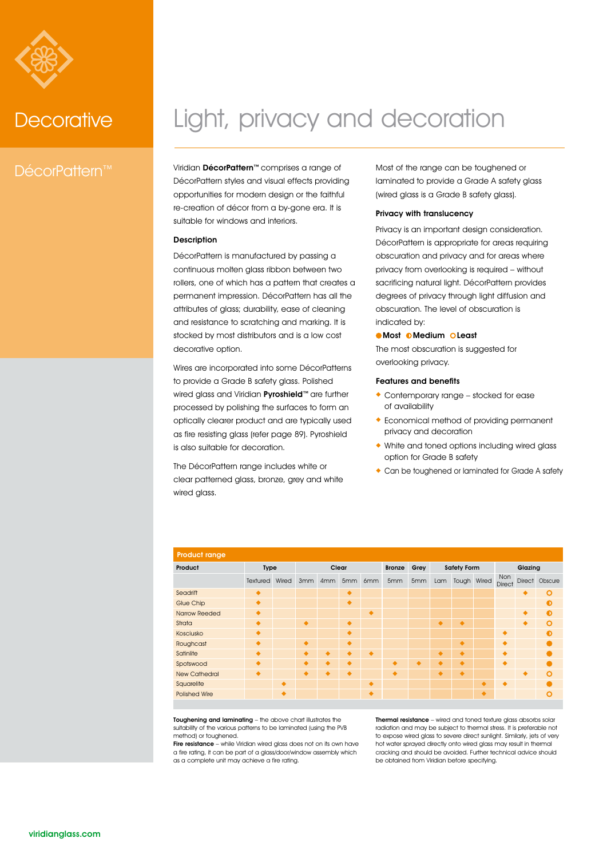

## DécorPattern™

## Decorative Light, privacy and decoration

Viridian DécorPattern™ comprises a range of DécorPattern styles and visual effects providing opportunities for modern design or the faithful re-creation of décor from a by-gone era. It is suitable for windows and interiors.

## Description

DécorPattern is manufactured by passing a continuous molten glass ribbon between two rollers, one of which has a pattern that creates a permanent impression. DécorPattern has all the attributes of glass; durability, ease of cleaning and resistance to scratching and marking. It is stocked by most distributors and is a low cost decorative option.

Wires are incorporated into some DécorPatterns to provide a Grade B safety glass. Polished wired glass and Viridian Pyroshield™ are further processed by polishing the surfaces to form an optically clearer product and are typically used as fire resisting glass (refer page 89). Pyroshield is also suitable for decoration.

The DécorPattern range includes white or clear patterned glass, bronze, grey and white wired glass.

Most of the range can be toughened or laminated to provide a Grade A safety glass (wired glass is a Grade B safety glass).

## Privacy with translucency

Privacy is an important design consideration. DécorPattern is appropriate for areas requiring obscuration and privacy and for areas where privacy from overlooking is required – without sacrificing natural light. DécorPattern provides degrees of privacy through light diffusion and obscuration. The level of obscuration is indicated by:

## **Most DMedium OLeast**

The most obscuration is suggested for overlooking privacy.

## Features and benefits

- . Contemporary range stocked for ease of availability
- . Economical method of providing permanent privacy and decoration
- . White and toned options including wired glass option for Grade B safety
- . Can be toughened or laminated for Grade A safety

| <b>Product range</b> |           |       |       |                 |           |           |               |      |                    |             |   |                      |   |                |
|----------------------|-----------|-------|-------|-----------------|-----------|-----------|---------------|------|--------------------|-------------|---|----------------------|---|----------------|
| Product              | Type      |       | Clear |                 |           |           | <b>Bronze</b> | Grey | <b>Safety Form</b> |             |   | Glazing              |   |                |
|                      | Textured  | Wired | 3mm   | 4 <sub>mm</sub> | 5mm       | 6mm       | 5mm           | 5mm  | Lam                | Tough Wired |   | Non<br><b>Direct</b> |   | Direct Obscure |
| Seadrift             | ۰         |       |       |                 | $\bullet$ |           |               |      |                    |             |   |                      | ٠ | $\Omega$       |
| <b>Glue Chip</b>     | ۰         |       |       |                 | ٠         |           |               |      |                    |             |   |                      |   | O              |
| <b>Narrow Reeded</b> | ۰         |       |       |                 |           | ۰         |               |      |                    |             |   |                      |   | ∩              |
| Strata               | ٠         |       | ۰     |                 | ٠         |           |               |      | $\bullet$          | $\bullet$   |   |                      | ٠ | O              |
| Kosciusko            | ۰         |       |       |                 |           |           |               |      |                    |             |   | ٠                    |   |                |
| Roughcast            | ٠         |       | ٠     |                 | ٠         |           |               |      |                    | ۰           |   |                      |   |                |
| Satinlite            | ۰         |       |       |                 |           | $\bullet$ |               |      | ۰                  | ۰           |   | ◢                    |   |                |
| Spotswood            | ٠         |       |       |                 |           |           | ٠             | ٠    |                    | ۰           |   | ٠                    |   |                |
| <b>New Cathedral</b> | $\bullet$ |       | ۰     | ۰               | $\bullet$ |           | ٠             |      | $\bullet$          | ۰           |   |                      | ٠ | O              |
| Squarelite           |           | ٠     |       |                 |           | ۰         |               |      |                    |             | ۰ | ٠                    |   |                |
| <b>Polished Wire</b> |           |       |       |                 |           | ۰         |               |      |                    |             | ۰ |                      |   | n              |

Toughening and laminating – the above chart illustrates the suitability of the various patterns to be laminated (using the PVB method) or toughened.

Fire resistance – while Viridian wired glass does not on its own have a fire rating, it can be part of a glass/door/window assembly which as a complete unit may achieve a fire rating.

Thermal resistance - wired and toned texture glass absorbs solar radiation and may be subject to thermal stress. It is preferable not to expose wired glass to severe direct sunlight. Similarly, jets of very hot water sprayed directly onto wired glass may result in thermal cracking and should be avoided. Further technical advice should be obtained from Viridian before specifying.